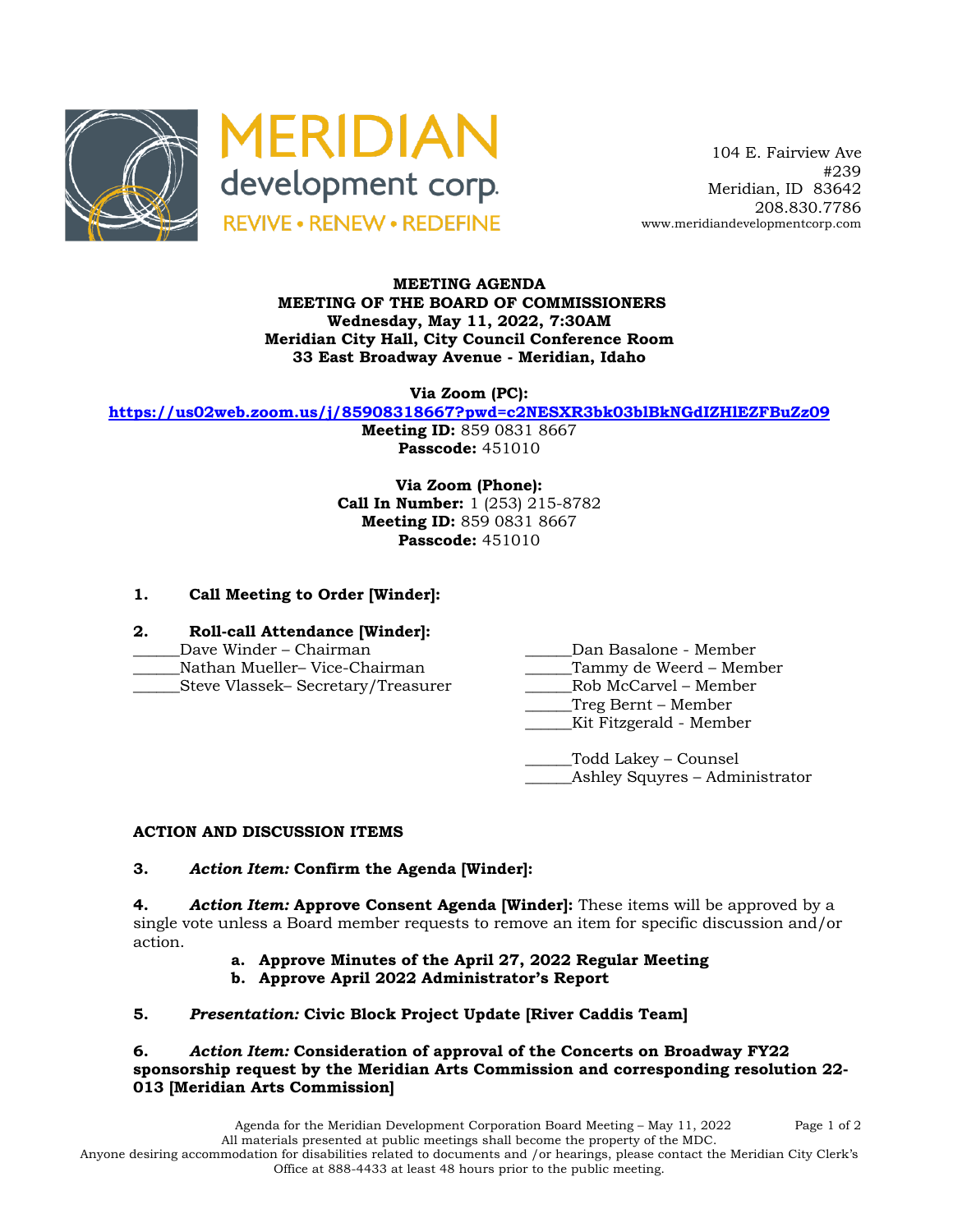



 104 E. Fairview Ave #239 Meridian, ID 83642 208.830.7786 www.meridiandevelopmentcorp.com

#### **MEETING AGENDA MEETING OF THE BOARD OF COMMISSIONERS Wednesday, May 11, 2022, 7:30AM Meridian City Hall, City Council Conference Room 33 East Broadway Avenue - Meridian, Idaho**

**Via Zoom (PC):**

**https://us02web.zoom.us/j/85908318667?pwd=c2NESXR3bk03blBkNGdIZHlEZFBuZz09**

**Meeting ID:** 859 0831 8667 **Passcode:** 451010

**Via Zoom (Phone): Call In Number:** 1 (253) 215-8782 **Meeting ID:** 859 0831 8667 **Passcode:** 451010

# **1. Call Meeting to Order [Winder]:**

- **2. Roll-call Attendance [Winder]:**
- 
- 
- 
- \_\_\_\_\_\_Dave Winder Chairman \_\_\_\_\_\_Dan Basalone Member
- Nathan Mueller– Vice-Chairman and Tammy de Weerd Member
- \_\_\_\_\_\_Steve Vlassek– Secretary/Treasurer \_\_\_\_\_\_Rob McCarvel Member
	- \_\_\_\_\_\_Treg Bernt Member
		- Kit Fitzgerald Member
	- \_\_\_\_\_\_Todd Lakey Counsel \_\_\_\_\_\_Ashley Squyres – Administrator

# **ACTION AND DISCUSSION ITEMS**

#### **3.** *Action Item:* **Confirm the Agenda [Winder]:**

**4.** *Action Item:* **Approve Consent Agenda [Winder]:** These items will be approved by a single vote unless a Board member requests to remove an item for specific discussion and/or action.

- **a. Approve Minutes of the April 27, 2022 Regular Meeting**
- **b. Approve April 2022 Administrator's Report**

# **5.** *Presentation:* **Civic Block Project Update [River Caddis Team]**

#### **6.** *Action Item:* **Consideration of approval of the Concerts on Broadway FY22 sponsorship request by the Meridian Arts Commission and corresponding resolution 22- 013 [Meridian Arts Commission]**